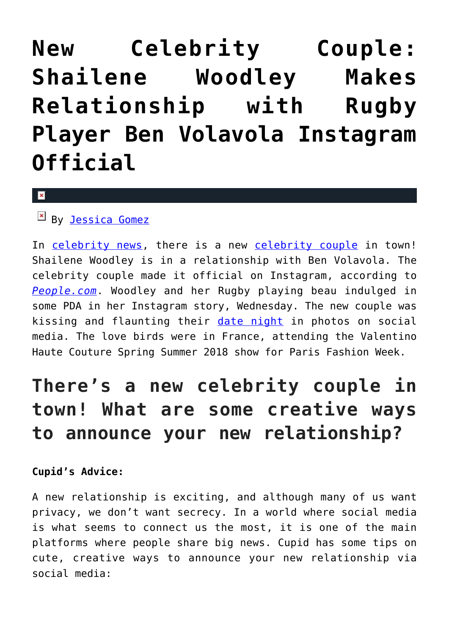## **[New Celebrity Couple:](https://cupidspulse.com/122777/new-celebrity-couple-shailene-woodley-relationship-ben-volavola-instagram-official/) [Shailene Woodley Makes](https://cupidspulse.com/122777/new-celebrity-couple-shailene-woodley-relationship-ben-volavola-instagram-official/) [Relationship with Rugby](https://cupidspulse.com/122777/new-celebrity-couple-shailene-woodley-relationship-ben-volavola-instagram-official/) [Player Ben Volavola Instagram](https://cupidspulse.com/122777/new-celebrity-couple-shailene-woodley-relationship-ben-volavola-instagram-official/) [Official](https://cupidspulse.com/122777/new-celebrity-couple-shailene-woodley-relationship-ben-volavola-instagram-official/)**

 $\pmb{\times}$ 

By [Jessica Gomez](http://cupidspulse.com/122405/jessica-gomez/)

In [celebrity news,](http://cupidspulse.com/celebrity-news/) there is a new [celebrity couple](http://cupidspulse.com/celebrity-news/celebrity-dating/) in town! Shailene Woodley is in a relationship with Ben Volavola. The celebrity couple made it official on Instagram, according to *[People.com](http://people.com/movies/shailene-woodley-relationship-ben-volavola-instagram-official/)*. Woodley and her Rugby playing beau indulged in some PDA in her Instagram story, Wednesday. The new couple was kissing and flaunting their [date night](http://cupidspulse.com/love/weekend-date-ideas/) in photos on social media. The love birds were in France, attending the Valentino Haute Couture Spring Summer 2018 show for Paris Fashion Week.

## **There's a new celebrity couple in town! What are some creative ways to announce your new relationship?**

## **Cupid's Advice:**

A new relationship is exciting, and although many of us want privacy, we don't want secrecy. In a world where social media is what seems to connect us the most, it is one of the main platforms where people share big news. Cupid has some tips on cute, creative ways to announce your new relationship via social media: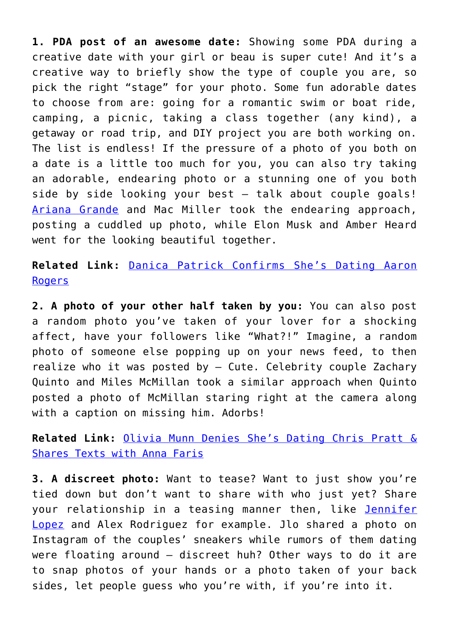**1. PDA post of an awesome date:** Showing some PDA during a creative date with your girl or beau is super cute! And it's a creative way to briefly show the type of couple you are, so pick the right "stage" for your photo. Some fun adorable dates to choose from are: going for a romantic swim or boat ride, camping, a picnic, taking a class together (any kind), a getaway or road trip, and DIY project you are both working on. The list is endless! If the pressure of a photo of you both on a date is a little too much for you, you can also try taking an adorable, endearing photo or a stunning one of you both side by side looking your best — talk about couple goals! [Ariana Grande](http://cupidspulse.com/87704/ariana-grande/) and Mac Miller took the endearing approach, posting a cuddled up photo, while Elon Musk and Amber Heard went for the looking beautiful together.

**Related Link:** [Danica Patrick Confirms She's Dating Aaron](http://cupidspulse.com/122569/danica-patrick-confirms-dating-aaron-rogers/) **[Rogers](http://cupidspulse.com/122569/danica-patrick-confirms-dating-aaron-rogers/)** 

**2. A photo of your other half taken by you:** You can also post a random photo you've taken of your lover for a shocking affect, have your followers like "What?!" Imagine, a random photo of someone else popping up on your news feed, to then realize who it was posted by — Cute. Celebrity couple Zachary Quinto and Miles McMillan took a similar approach when Quinto posted a photo of McMillan staring right at the camera along with a caption on missing him. Adorbs!

**Related Link:** [Olivia Munn Denies She's Dating Chris Pratt &](http://cupidspulse.com/122667/celebrity-dating-olivia-munn-denies-dating-chris-pratt/) [Shares Texts with Anna Faris](http://cupidspulse.com/122667/celebrity-dating-olivia-munn-denies-dating-chris-pratt/)

**3. A discreet photo:** Want to tease? Want to just show you're tied down but don't want to share with who just yet? Share your relationship in a teasing manner then, like [Jennifer](http://cupidspulse.com/86083/jennifer-lopez/) [Lopez](http://cupidspulse.com/86083/jennifer-lopez/) and Alex Rodriguez for example. Jlo shared a photo on Instagram of the couples' sneakers while rumors of them dating were floating around — discreet huh? Other ways to do it are to snap photos of your hands or a photo taken of your back sides, let people guess who you're with, if you're into it.